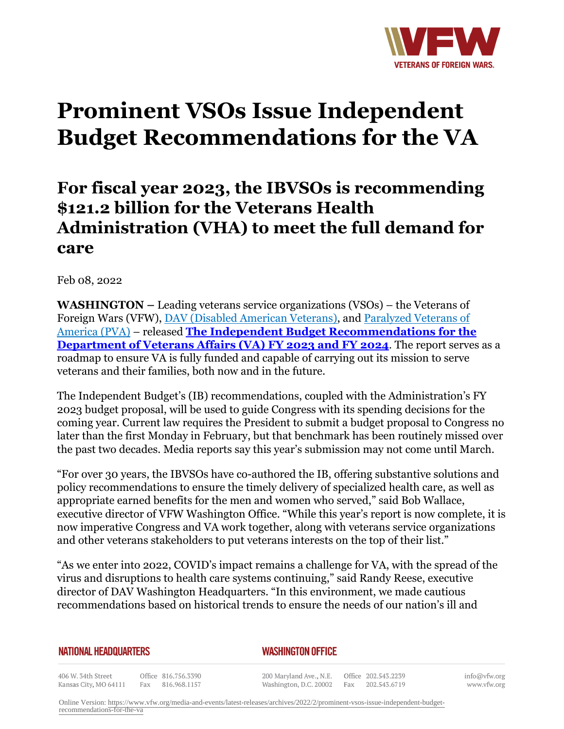

# **Prominent VSOs Issue Independent Budget Recommendations for the VA**

# **For fiscal year 2023, the IBVSOs is recommending \$121.2 billion for the Veterans Health Administration (VHA) to meet the full demand for care**

Feb 08, 2022

**WASHINGTON –** Leading veterans service organizations (VSOs) – the Veterans of Foreign Wars (VFW), DAV (Disabled American Veterans), and Paralyzed Veterans of America (PVA) – released **The Independent Budget Recommendations for the Department of Veterans Affairs (VA) FY 2023 and FY 2024**. The report serves as a roadmap to ensure VA is fully funded and capable of carrying out its mission to serve veterans and their families, both now and in the future.

The Independent Budget's (IB) recommendations, coupled with the Administration's FY 2023 budget proposal, will be used to guide Congress with its spending decisions for the coming year. Current law requires the President to submit a budget proposal to Congress no later than the first Monday in February, but that benchmark has been routinely missed over the past two decades. Media reports say this year's submission may not come until March.

"For over 30 years, the IBVSOs have co-authored the IB, offering substantive solutions and policy recommendations to ensure the timely delivery of specialized health care, as well as appropriate earned benefits for the men and women who served," said Bob Wallace, executive director of VFW Washington Office. "While this year's report is now complete, it is now imperative Congress and VA work together, along with veterans service organizations and other veterans stakeholders to put veterans interests on the top of their list."

"As we enter into 2022, COVID's impact remains a challenge for VA, with the spread of the virus and disruptions to health care systems continuing," said Randy Reese, executive director of DAV Washington Headquarters. "In this environment, we made cautious recommendations based on historical trends to ensure the needs of our nation's ill and

### **NATIONAL HEADQUARTERS**

## *WASHINGTON OFFICE*

406 W. 34th Street Office 816.756.3390 Kansas City, MO 64111 Fax 816.968.1157

200 Maryland Ave., N.E. Washington, D.C. 20002

Office 202.543.2239 Fax 202.543.6719 info@vfw.org www.vfw.org

Online Version: [https://www.vfw.org/media-and-events/latest-releases/archives/2022/2/prominent-vsos-issue-independent-budget](https://www.vfw.org/media-and-events/latest-releases/archives/2022/2/prominent-vsos-issue-independent-budget-recommendations-for-the-va)[recommendations-for-the-va](https://www.vfw.org/media-and-events/latest-releases/archives/2022/2/prominent-vsos-issue-independent-budget-recommendations-for-the-va)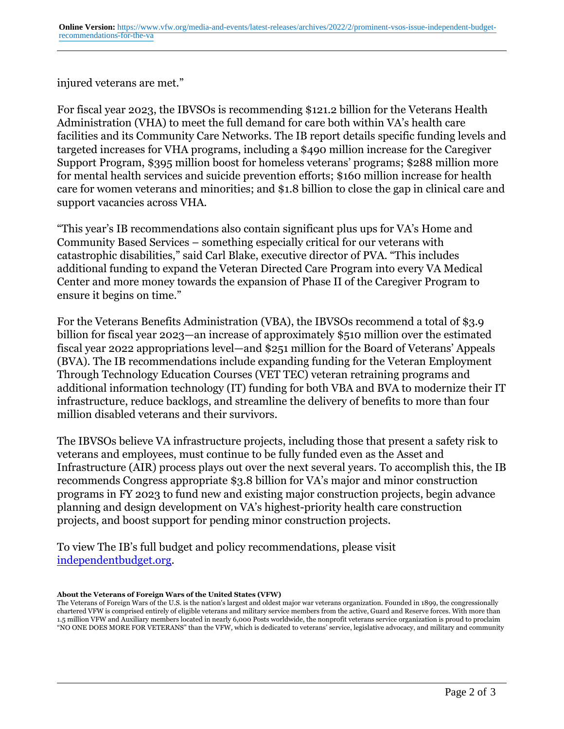injured veterans are met."

For fiscal year 2023, the IBVSOs is recommending \$121.2 billion for the Veterans Health Administration (VHA) to meet the full demand for care both within VA's health care facilities and its Community Care Networks. The IB report details specific funding levels and targeted increases for VHA programs, including a \$490 million increase for the Caregiver Support Program, \$395 million boost for homeless veterans' programs; \$288 million more for mental health services and suicide prevention efforts; \$160 million increase for health care for women veterans and minorities; and \$1.8 billion to close the gap in clinical care and support vacancies across VHA.

"This year's IB recommendations also contain significant plus ups for VA's Home and Community Based Services – something especially critical for our veterans with catastrophic disabilities," said Carl Blake, executive director of PVA. "This includes additional funding to expand the Veteran Directed Care Program into every VA Medical Center and more money towards the expansion of Phase II of the Caregiver Program to ensure it begins on time."

For the Veterans Benefits Administration (VBA), the IBVSOs recommend a total of \$3.9 billion for fiscal year 2023—an increase of approximately \$510 million over the estimated fiscal year 2022 appropriations level—and \$251 million for the Board of Veterans' Appeals (BVA). The IB recommendations include expanding funding for the Veteran Employment Through Technology Education Courses (VET TEC) veteran retraining programs and additional information technology (IT) funding for both VBA and BVA to modernize their IT infrastructure, reduce backlogs, and streamline the delivery of benefits to more than four million disabled veterans and their survivors.

The IBVSOs believe VA infrastructure projects, including those that present a safety risk to veterans and employees, must continue to be fully funded even as the Asset and Infrastructure (AIR) process plays out over the next several years. To accomplish this, the IB recommends Congress appropriate \$3.8 billion for VA's major and minor construction programs in FY 2023 to fund new and existing major construction projects, begin advance planning and design development on VA's highest-priority health care construction projects, and boost support for pending minor construction projects.

To view The IB's full budget and policy recommendations, please visit [independentbudget.org](http:http://www.independentbudget.org/117-congress/).

**About the Veterans of Foreign Wars of the United States (VFW)**

The Veterans of Foreign Wars of the U.S. is the nation's largest and oldest major war veterans organization. Founded in 1899, the congressionally chartered VFW is comprised entirely of eligible veterans and military service members from the active, Guard and Reserve forces. With more than 1.5 million VFW and Auxiliary members located in nearly 6,000 Posts worldwide, the nonprofit veterans service organization is proud to proclaim "NO ONE DOES MORE FOR VETERANS" than the VFW, which is dedicated to veterans' service, legislative advocacy, and military and community